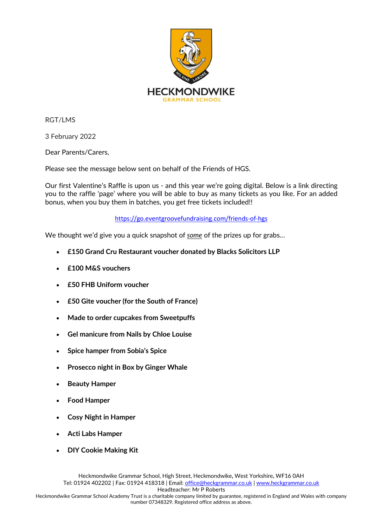

RGT/LMS

3 February 2022

Dear Parents/Carers,

Please see the message below sent on behalf of the Friends of HGS.

Our first Valentine's Raffle is upon us - and this year we're going digital. Below is a link directing you to the raffle 'page' where you will be able to buy as many tickets as you like. For an added bonus, when you buy them in batches, you get free tickets included!!

<https://go.eventgroovefundraising.com/friends-of-hgs>

We thought we'd give you a quick snapshot of *some* of the prizes up for grabs…

- **£150 Grand Cru Restaurant voucher donated by Blacks Solicitors LLP**
- **£100 M&S vouchers**
- **£50 FHB Uniform voucher**
- **£50 Gite voucher (for the South of France)**
- **Made to order cupcakes from Sweetpuffs**
- **Gel manicure from Nails by Chloe Louise**
- **Spice hamper from Sobia's Spice**
- **Prosecco night in Box by Ginger Whale**
- **Beauty Hamper**
- **Food Hamper**
- **Cosy Night in Hamper**
- **Acti Labs Hamper**
- **DIY Cookie Making Kit**